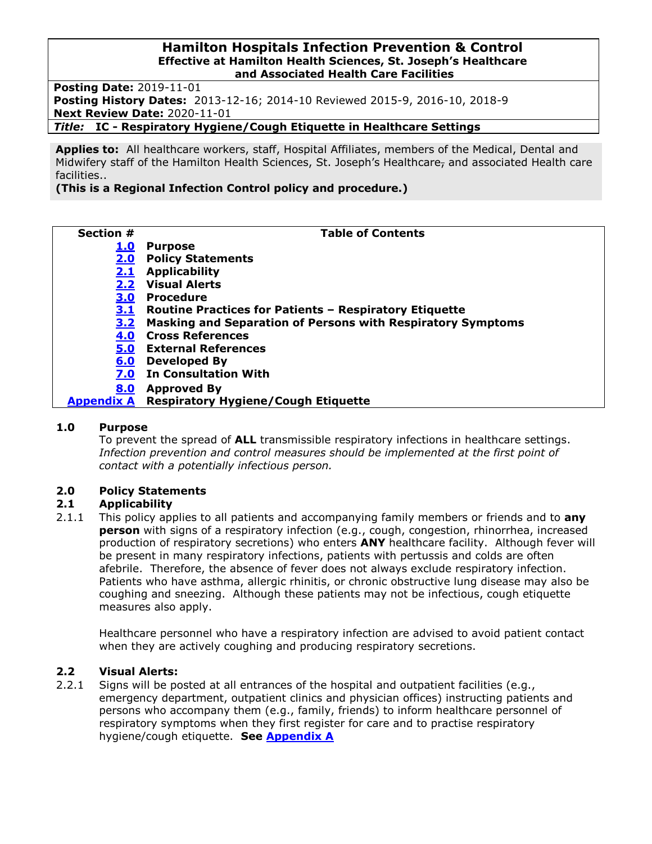**Posting Date:** 2019-11-01

**Posting History Dates:** 2013-12-16; 2014-10 Reviewed 2015-9, 2016-10, 2018-9 **Next Review Date:** 2020-11-01

*Title:* **IC - Respiratory Hygiene/Cough Etiquette in Healthcare Settings**

**Applies to:** All healthcare workers, staff, Hospital Affiliates, members of the Medical, Dental and Midwifery staff of the Hamilton Health Sciences, St. Joseph's Healthcare, and associated Health care facilities..

### **(This is a Regional Infection Control policy and procedure.)**

**Section # Table of Contents**

**[1.0](#page-0-0) Purpose [2.0](#page-0-1) Policy Statements 2.1 Applicability [2.2](#page-0-2) Visual Alerts [3.0](#page-1-0) Procedure [3.1](#page-1-1) Routine Practices for Patients – Respiratory Etiquette [3.2](#page-1-2) Masking and Separation of Persons with Respiratory Symptoms [4.0](#page-1-3) Cross References [5.0](#page-1-4) External References [6.0](#page-1-5) Developed By [7.0](#page-1-6) In Consultation With [8.0](#page-2-0) Approved By**

## **[Appendix](#page-3-0) A Respiratory Hygiene/Cough Etiquette**

### <span id="page-0-0"></span>**1.0 Purpose**

To prevent the spread of **ALL** transmissible respiratory infections in healthcare settings. *Infection prevention and control measures should be implemented at the first point of contact with a potentially infectious person.*

### <span id="page-0-1"></span>**2.0 Policy Statements**

# **2.1 Applicability**

2.1.1 This policy applies to all patients and accompanying family members or friends and to **any person** with signs of a respiratory infection (e.g., cough, congestion, rhinorrhea, increased production of respiratory secretions) who enters **ANY** healthcare facility. Although fever will be present in many respiratory infections, patients with pertussis and colds are often afebrile. Therefore, the absence of fever does not always exclude respiratory infection. Patients who have asthma, allergic rhinitis, or chronic obstructive lung disease may also be coughing and sneezing. Although these patients may not be infectious, cough etiquette measures also apply.

Healthcare personnel who have a respiratory infection are advised to avoid patient contact when they are actively coughing and producing respiratory secretions.

### <span id="page-0-2"></span>**2.2 Visual Alerts:**

2.2.1 Signs will be posted at all entrances of the hospital and outpatient facilities (e.g., emergency department, outpatient clinics and physician offices) instructing patients and persons who accompany them (e.g., family, friends) to inform healthcare personnel of respiratory symptoms when they first register for care and to practise respiratory hygiene/cough etiquette. **See [Appendix A](#page-3-0)**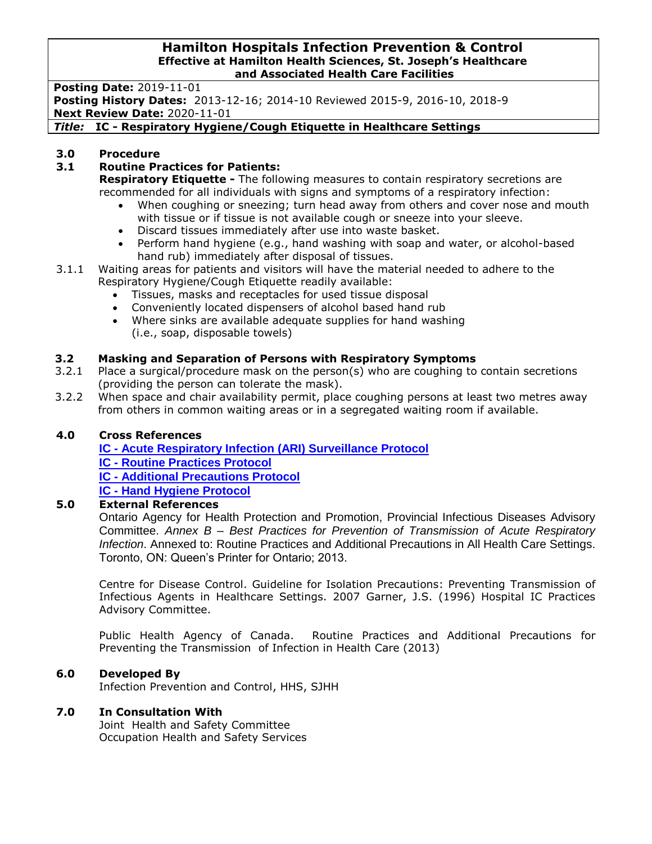**Posting Date:** 2019-11-01

**Posting History Dates:** 2013-12-16; 2014-10 Reviewed 2015-9, 2016-10, 2018-9

**Next Review Date:** 2020-11-01

*Title:* **IC - Respiratory Hygiene/Cough Etiquette in Healthcare Settings**

# <span id="page-1-0"></span>**3.0 Procedure**

# <span id="page-1-1"></span>**3.1 Routine Practices for Patients:**

**Respiratory Etiquette -** The following measures to contain respiratory secretions are recommended for all individuals with signs and symptoms of a respiratory infection:

- When coughing or sneezing; turn head away from others and cover nose and mouth with tissue or if tissue is not available cough or sneeze into your sleeve.
- Discard tissues immediately after use into waste basket.
- Perform hand hygiene (e.g., hand washing with soap and water, or alcohol-based hand rub) immediately after disposal of tissues.
- 3.1.1 Waiting areas for patients and visitors will have the material needed to adhere to the Respiratory Hygiene/Cough Etiquette readily available:
	- Tissues, masks and receptacles for used tissue disposal
	- Conveniently located dispensers of alcohol based hand rub
	- Where sinks are available adequate supplies for hand washing (i.e., soap, disposable towels)

## <span id="page-1-2"></span>**3.2 Masking and Separation of Persons with Respiratory Symptoms**

- 3.2.1 Place a surgical/procedure mask on the person(s) who are coughing to contain secretions (providing the person can tolerate the mask).
- 3.2.2 When space and chair availability permit, place coughing persons at least two metres away from others in common waiting areas or in a segregated waiting room if available.

# <span id="page-1-3"></span>**4.0 Cross References**

**IC - [Acute Respiratory Infection \(ARI\) Surveillance Protocol](http://policy.hhsc.ca/Site_Published/hhsc/document_render.aspx?documentRender.IdType=6&documentRender.GenericField=&documentRender.Id=98400) IC - [Routine Practices Protocol](http://policy.hhsc.ca/Site_Published/hhsc/document_render.aspx?documentRender.IdType=6&documentRender.GenericField=&documentRender.Id=94268) IC - [Additional Precautions Protocol](http://policy.hhsc.ca/Site_Published/hhsc/document_render.aspx?documentRender.IdType=6&documentRender.GenericField=&documentRender.Id=98398) IC - [Hand Hygiene Protocol](http://policy.hhsc.ca/Site_Published/hhsc/document_render.aspx?documentRender.IdType=6&documentRender.GenericField=&documentRender.Id=96597)**

# <span id="page-1-4"></span>**5.0 External References**

Ontario Agency for Health Protection and Promotion, Provincial Infectious Diseases Advisory Committee. *Annex B – Best Practices for Prevention of Transmission of Acute Respiratory Infection*. Annexed to: Routine Practices and Additional Precautions in All Health Care Settings. Toronto, ON: Queen's Printer for Ontario; 2013.

Centre for Disease Control. Guideline for Isolation Precautions: Preventing Transmission of Infectious Agents in Healthcare Settings. 2007 Garner, J.S. (1996) Hospital IC Practices Advisory Committee.

Public Health Agency of Canada. Routine Practices and Additional Precautions for Preventing the Transmission of Infection in Health Care (2013)

# <span id="page-1-5"></span>**6.0 Developed By**

Infection Prevention and Control, HHS, SJHH

### <span id="page-1-6"></span>**7.0 In Consultation With**

Joint Health and Safety Committee Occupation Health and Safety Services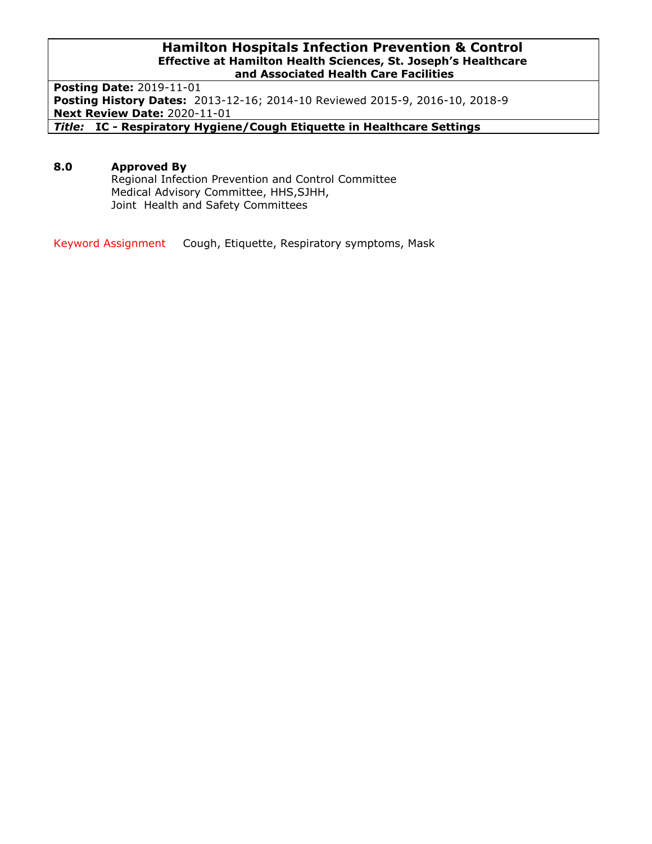**Posting Date:** 2019-11-01 **Posting History Dates:** 2013-12-16; 2014-10 Reviewed 2015-9, 2016-10, 2018-9 **Next Review Date:** 2020-11-01 *Title:* **IC - Respiratory Hygiene/Cough Etiquette in Healthcare Settings**

### <span id="page-2-0"></span>**8.0 Approved By**

Regional Infection Prevention and Control Committee Medical Advisory Committee, HHS,SJHH, Joint Health and Safety Committees

Keyword Assignment Cough, Etiquette, Respiratory symptoms, Mask